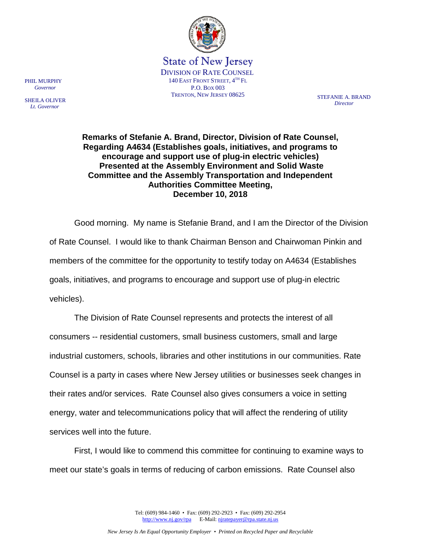

State of New Jersey DIVISION OF RATE COUNSEL 140 EAST FRONT STREET, 4TH FL P.O. BOX 003 TRENTON, NEW JERSEY 08625 STEFANIE A BRAND

*Director*

**Remarks of Stefanie A. Brand, Director, Division of Rate Counsel, Regarding A4634 (Establishes goals, initiatives, and programs to encourage and support use of plug-in electric vehicles) Presented at the Assembly Environment and Solid Waste Committee and the Assembly Transportation and Independent Authorities Committee Meeting, December 10, 2018**

Good morning. My name is Stefanie Brand, and I am the Director of the Division of Rate Counsel. I would like to thank Chairman Benson and Chairwoman Pinkin and members of the committee for the opportunity to testify today on A4634 (Establishes goals, initiatives, and programs to encourage and support use of plug-in electric vehicles).

The Division of Rate Counsel represents and protects the interest of all consumers -- residential customers, small business customers, small and large industrial customers, schools, libraries and other institutions in our communities. Rate Counsel is a party in cases where New Jersey utilities or businesses seek changes in their rates and/or services. Rate Counsel also gives consumers a voice in setting energy, water and telecommunications policy that will affect the rendering of utility services well into the future.

First, I would like to commend this committee for continuing to examine ways to meet our state's goals in terms of reducing of carbon emissions. Rate Counsel also

> Tel: (609) 984-1460 • Fax: (609) 292-2923 • Fax: (609) 292-2954 [http://www.nj.gov/rpa](http://www.state.nj.us/publicadvocate/utility) E-Mail[: njratepayer@rpa.state.nj.us](mailto:njratepayer@rpa.state.nj.us)

PHIL MURPHY  *Governor*

SHEILA OLIVER  *Lt. Governor*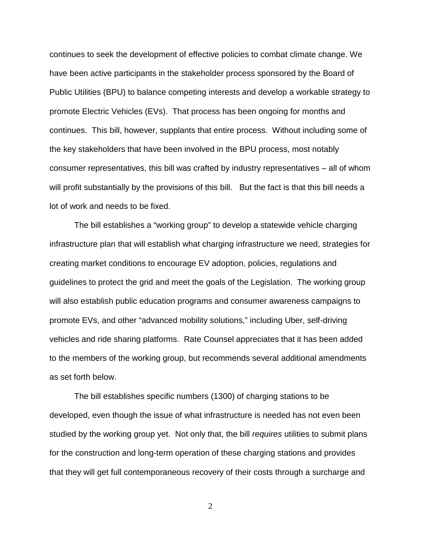continues to seek the development of effective policies to combat climate change. We have been active participants in the stakeholder process sponsored by the Board of Public Utilities (BPU) to balance competing interests and develop a workable strategy to promote Electric Vehicles (EVs). That process has been ongoing for months and continues. This bill, however, supplants that entire process. Without including some of the key stakeholders that have been involved in the BPU process, most notably consumer representatives, this bill was crafted by industry representatives – all of whom will profit substantially by the provisions of this bill. But the fact is that this bill needs a lot of work and needs to be fixed.

The bill establishes a "working group" to develop a statewide vehicle charging infrastructure plan that will establish what charging infrastructure we need, strategies for creating market conditions to encourage EV adoption, policies, regulations and guidelines to protect the grid and meet the goals of the Legislation. The working group will also establish public education programs and consumer awareness campaigns to promote EVs, and other "advanced mobility solutions," including Uber, self-driving vehicles and ride sharing platforms. Rate Counsel appreciates that it has been added to the members of the working group, but recommends several additional amendments as set forth below.

The bill establishes specific numbers (1300) of charging stations to be developed, even though the issue of what infrastructure is needed has not even been studied by the working group yet. Not only that, the bill *requires* utilities to submit plans for the construction and long-term operation of these charging stations and provides that they will get full contemporaneous recovery of their costs through a surcharge and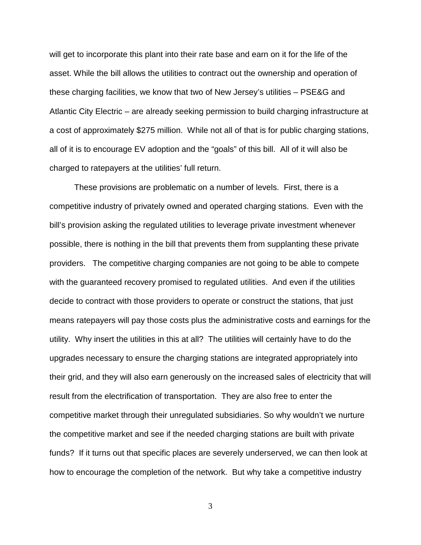will get to incorporate this plant into their rate base and earn on it for the life of the asset. While the bill allows the utilities to contract out the ownership and operation of these charging facilities, we know that two of New Jersey's utilities – PSE&G and Atlantic City Electric – are already seeking permission to build charging infrastructure at a cost of approximately \$275 million. While not all of that is for public charging stations, all of it is to encourage EV adoption and the "goals" of this bill. All of it will also be charged to ratepayers at the utilities' full return.

These provisions are problematic on a number of levels. First, there is a competitive industry of privately owned and operated charging stations. Even with the bill's provision asking the regulated utilities to leverage private investment whenever possible, there is nothing in the bill that prevents them from supplanting these private providers. The competitive charging companies are not going to be able to compete with the guaranteed recovery promised to regulated utilities. And even if the utilities decide to contract with those providers to operate or construct the stations, that just means ratepayers will pay those costs plus the administrative costs and earnings for the utility. Why insert the utilities in this at all? The utilities will certainly have to do the upgrades necessary to ensure the charging stations are integrated appropriately into their grid, and they will also earn generously on the increased sales of electricity that will result from the electrification of transportation. They are also free to enter the competitive market through their unregulated subsidiaries. So why wouldn't we nurture the competitive market and see if the needed charging stations are built with private funds? If it turns out that specific places are severely underserved, we can then look at how to encourage the completion of the network. But why take a competitive industry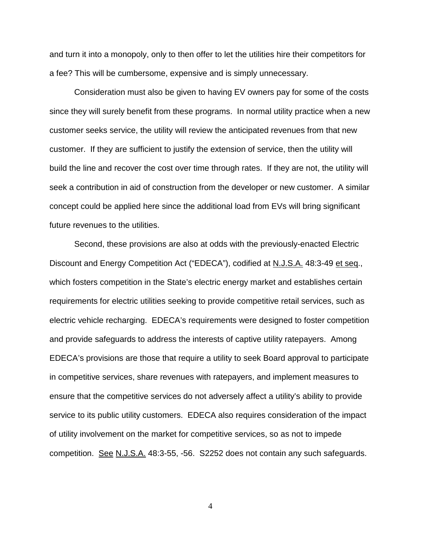and turn it into a monopoly, only to then offer to let the utilities hire their competitors for a fee? This will be cumbersome, expensive and is simply unnecessary.

Consideration must also be given to having EV owners pay for some of the costs since they will surely benefit from these programs. In normal utility practice when a new customer seeks service, the utility will review the anticipated revenues from that new customer. If they are sufficient to justify the extension of service, then the utility will build the line and recover the cost over time through rates. If they are not, the utility will seek a contribution in aid of construction from the developer or new customer. A similar concept could be applied here since the additional load from EVs will bring significant future revenues to the utilities.

Second, these provisions are also at odds with the previously-enacted Electric Discount and Energy Competition Act ("EDECA"), codified at N.J.S.A. 48:3-49 et seq., which fosters competition in the State's electric energy market and establishes certain requirements for electric utilities seeking to provide competitive retail services, such as electric vehicle recharging. EDECA's requirements were designed to foster competition and provide safeguards to address the interests of captive utility ratepayers. Among EDECA's provisions are those that require a utility to seek Board approval to participate in competitive services, share revenues with ratepayers, and implement measures to ensure that the competitive services do not adversely affect a utility's ability to provide service to its public utility customers. EDECA also requires consideration of the impact of utility involvement on the market for competitive services, so as not to impede competition. See N.J.S.A. 48:3-55, -56. S2252 does not contain any such safeguards.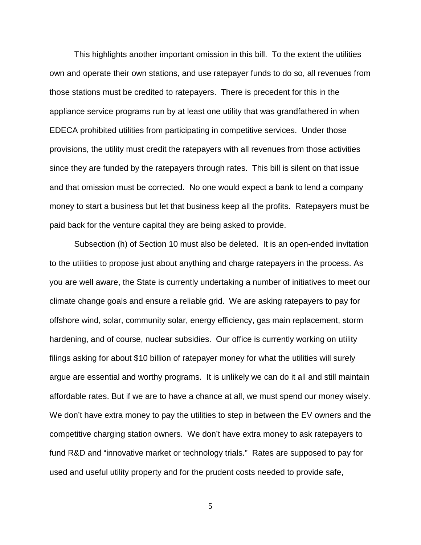This highlights another important omission in this bill. To the extent the utilities own and operate their own stations, and use ratepayer funds to do so, all revenues from those stations must be credited to ratepayers. There is precedent for this in the appliance service programs run by at least one utility that was grandfathered in when EDECA prohibited utilities from participating in competitive services. Under those provisions, the utility must credit the ratepayers with all revenues from those activities since they are funded by the ratepayers through rates. This bill is silent on that issue and that omission must be corrected. No one would expect a bank to lend a company money to start a business but let that business keep all the profits. Ratepayers must be paid back for the venture capital they are being asked to provide.

Subsection (h) of Section 10 must also be deleted. It is an open-ended invitation to the utilities to propose just about anything and charge ratepayers in the process. As you are well aware, the State is currently undertaking a number of initiatives to meet our climate change goals and ensure a reliable grid. We are asking ratepayers to pay for offshore wind, solar, community solar, energy efficiency, gas main replacement, storm hardening, and of course, nuclear subsidies. Our office is currently working on utility filings asking for about \$10 billion of ratepayer money for what the utilities will surely argue are essential and worthy programs. It is unlikely we can do it all and still maintain affordable rates. But if we are to have a chance at all, we must spend our money wisely. We don't have extra money to pay the utilities to step in between the EV owners and the competitive charging station owners. We don't have extra money to ask ratepayers to fund R&D and "innovative market or technology trials." Rates are supposed to pay for used and useful utility property and for the prudent costs needed to provide safe,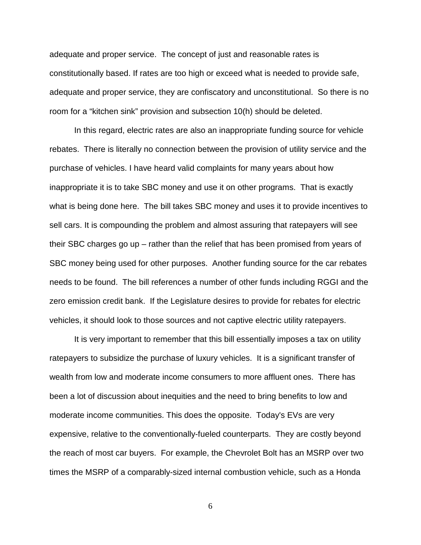adequate and proper service. The concept of just and reasonable rates is constitutionally based. If rates are too high or exceed what is needed to provide safe, adequate and proper service, they are confiscatory and unconstitutional. So there is no room for a "kitchen sink" provision and subsection 10(h) should be deleted.

In this regard, electric rates are also an inappropriate funding source for vehicle rebates. There is literally no connection between the provision of utility service and the purchase of vehicles. I have heard valid complaints for many years about how inappropriate it is to take SBC money and use it on other programs. That is exactly what is being done here. The bill takes SBC money and uses it to provide incentives to sell cars. It is compounding the problem and almost assuring that ratepayers will see their SBC charges go up – rather than the relief that has been promised from years of SBC money being used for other purposes. Another funding source for the car rebates needs to be found. The bill references a number of other funds including RGGI and the zero emission credit bank. If the Legislature desires to provide for rebates for electric vehicles, it should look to those sources and not captive electric utility ratepayers.

It is very important to remember that this bill essentially imposes a tax on utility ratepayers to subsidize the purchase of luxury vehicles. It is a significant transfer of wealth from low and moderate income consumers to more affluent ones. There has been a lot of discussion about inequities and the need to bring benefits to low and moderate income communities. This does the opposite. Today's EVs are very expensive, relative to the conventionally-fueled counterparts. They are costly beyond the reach of most car buyers. For example, the Chevrolet Bolt has an MSRP over two times the MSRP of a comparably-sized internal combustion vehicle, such as a Honda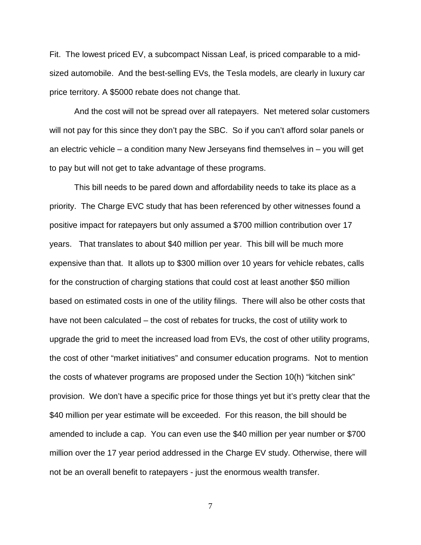Fit. The lowest priced EV, a subcompact Nissan Leaf, is priced comparable to a midsized automobile. And the best-selling EVs, the Tesla models, are clearly in luxury car price territory. A \$5000 rebate does not change that.

And the cost will not be spread over all ratepayers. Net metered solar customers will not pay for this since they don't pay the SBC. So if you can't afford solar panels or an electric vehicle – a condition many New Jerseyans find themselves in – you will get to pay but will not get to take advantage of these programs.

This bill needs to be pared down and affordability needs to take its place as a priority. The Charge EVC study that has been referenced by other witnesses found a positive impact for ratepayers but only assumed a \$700 million contribution over 17 years. That translates to about \$40 million per year. This bill will be much more expensive than that. It allots up to \$300 million over 10 years for vehicle rebates, calls for the construction of charging stations that could cost at least another \$50 million based on estimated costs in one of the utility filings. There will also be other costs that have not been calculated – the cost of rebates for trucks, the cost of utility work to upgrade the grid to meet the increased load from EVs, the cost of other utility programs, the cost of other "market initiatives" and consumer education programs. Not to mention the costs of whatever programs are proposed under the Section 10(h) "kitchen sink" provision. We don't have a specific price for those things yet but it's pretty clear that the \$40 million per year estimate will be exceeded. For this reason, the bill should be amended to include a cap. You can even use the \$40 million per year number or \$700 million over the 17 year period addressed in the Charge EV study. Otherwise, there will not be an overall benefit to ratepayers - just the enormous wealth transfer.